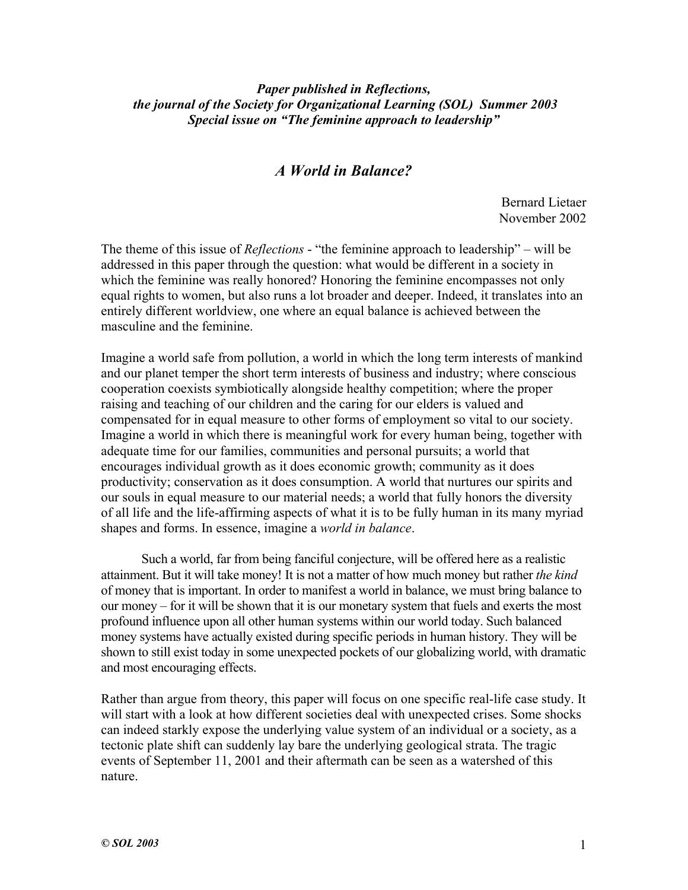### *Paper published in Reflections, the journal of the Society for Organizational Learning (SOL) Summer 2003 Special issue on "The feminine approach to leadership"*

### *A World in Balance?*

Bernard Lietaer November 2002

The theme of this issue of *Reflections* - "the feminine approach to leadership" – will be addressed in this paper through the question: what would be different in a society in which the feminine was really honored? Honoring the feminine encompasses not only equal rights to women, but also runs a lot broader and deeper. Indeed, it translates into an entirely different worldview, one where an equal balance is achieved between the masculine and the feminine.

Imagine a world safe from pollution, a world in which the long term interests of mankind and our planet temper the short term interests of business and industry; where conscious cooperation coexists symbiotically alongside healthy competition; where the proper raising and teaching of our children and the caring for our elders is valued and compensated for in equal measure to other forms of employment so vital to our society. Imagine a world in which there is meaningful work for every human being, together with adequate time for our families, communities and personal pursuits; a world that encourages individual growth as it does economic growth; community as it does productivity; conservation as it does consumption. A world that nurtures our spirits and our souls in equal measure to our material needs; a world that fully honors the diversity of all life and the life-affirming aspects of what it is to be fully human in its many myriad shapes and forms. In essence, imagine a *world in balance*.

Such a world, far from being fanciful conjecture, will be offered here as a realistic attainment. But it will take money! It is not a matter of how much money but rather *the kind* of money that is important. In order to manifest a world in balance, we must bring balance to our money – for it will be shown that it is our monetary system that fuels and exerts the most profound influence upon all other human systems within our world today. Such balanced money systems have actually existed during specific periods in human history. They will be shown to still exist today in some unexpected pockets of our globalizing world, with dramatic and most encouraging effects.

Rather than argue from theory, this paper will focus on one specific real-life case study. It will start with a look at how different societies deal with unexpected crises. Some shocks can indeed starkly expose the underlying value system of an individual or a society, as a tectonic plate shift can suddenly lay bare the underlying geological strata. The tragic events of September 11, 2001 and their aftermath can be seen as a watershed of this nature.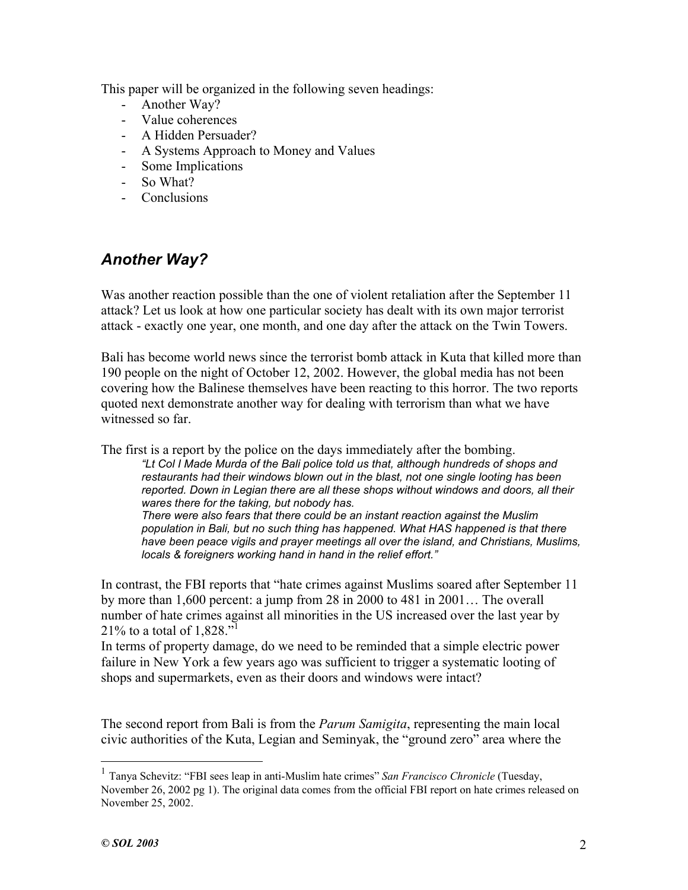This paper will be organized in the following seven headings:

- Another Way?
- Value coherences
- A Hidden Persuader?
- A Systems Approach to Money and Values
- Some Implications
- So What?
- Conclusions

## *Another Way?*

Was another reaction possible than the one of violent retaliation after the September 11 attack? Let us look at how one particular society has dealt with its own major terrorist attack - exactly one year, one month, and one day after the attack on the Twin Towers.

Bali has become world news since the terrorist bomb attack in Kuta that killed more than 190 people on the night of October 12, 2002. However, the global media has not been covering how the Balinese themselves have been reacting to this horror. The two reports quoted next demonstrate another way for dealing with terrorism than what we have witnessed so far.

The first is a report by the police on the days immediately after the bombing. *"Lt Col I Made Murda of the Bali police told us that, although hundreds of shops and restaurants had their windows blown out in the blast, not one single looting has been reported. Down in Legian there are all these shops without windows and doors, all their wares there for the taking, but nobody has. There were also fears that there could be an instant reaction against the Muslim population in Bali, but no such thing has happened. What HAS happened is that there have been peace vigils and prayer meetings all over the island, and Christians, Muslims, locals & foreigners working hand in hand in the relief effort."*

In contrast, the FBI reports that "hate crimes against Muslims soared after September 11 by more than 1,600 percent: a jump from 28 in 2000 to 481 in 2001… The overall number of hate crimes against all minorities in the US increased over the last year by 21% to a total of  $1,828."$ <sup>1</sup>

In terms of property damage, do we need to be reminded that a simple electric power failure in New York a few years ago was sufficient to trigger a systematic looting of shops and supermarkets, even as their doors and windows were intact?

The second report from Bali is from the *Parum Samigita*, representing the main local civic authorities of the Kuta, Legian and Seminyak, the "ground zero" area where the

1

<sup>1</sup> Tanya Schevitz: "FBI sees leap in anti-Muslim hate crimes" *San Francisco Chronicle* (Tuesday, November 26, 2002 pg 1). The original data comes from the official FBI report on hate crimes released on November 25, 2002.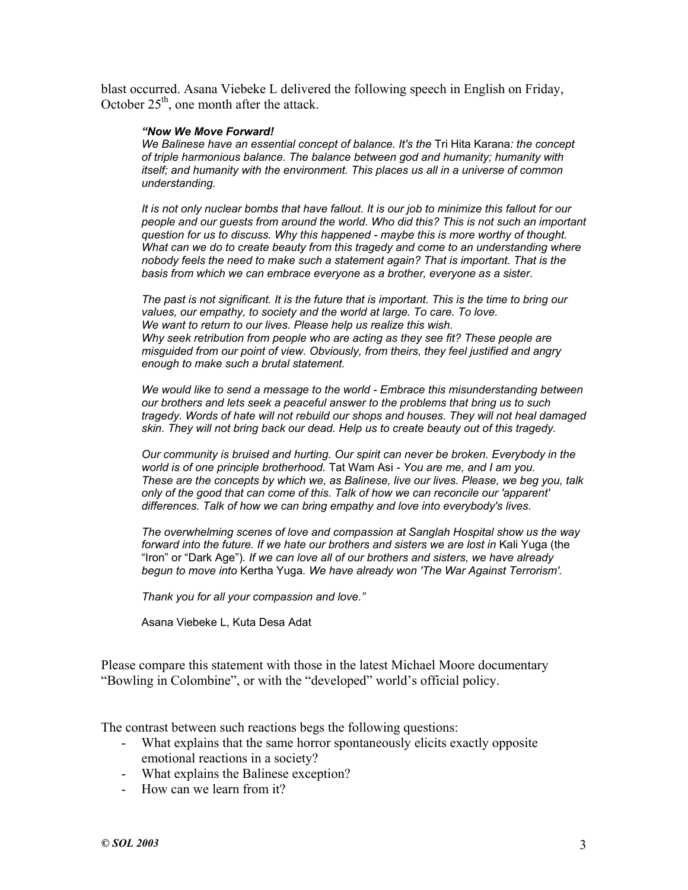blast occurred. Asana Viebeke L delivered the following speech in English on Friday, October  $25<sup>th</sup>$ , one month after the attack.

#### *"Now We Move Forward!*

*We Balinese have an essential concept of balance. It's the* Tri Hita Karana*: the concept of triple harmonious balance. The balance between god and humanity; humanity with itself; and humanity with the environment. This places us all in a universe of common understanding.* 

*It is not only nuclear bombs that have fallout. It is our job to minimize this fallout for our people and our guests from around the world. Who did this? This is not such an important question for us to discuss. Why this happened - maybe this is more worthy of thought. What can we do to create beauty from this tragedy and come to an understanding where nobody feels the need to make such a statement again? That is important. That is the basis from which we can embrace everyone as a brother, everyone as a sister.* 

*The past is not significant. It is the future that is important. This is the time to bring our values, our empathy, to society and the world at large. To care. To love. We want to return to our lives. Please help us realize this wish. Why seek retribution from people who are acting as they see fit? These people are misguided from our point of view. Obviously, from theirs, they feel justified and angry enough to make such a brutal statement.* 

*We would like to send a message to the world - Embrace this misunderstanding between our brothers and lets seek a peaceful answer to the problems that bring us to such tragedy. Words of hate will not rebuild our shops and houses. They will not heal damaged skin. They will not bring back our dead. Help us to create beauty out of this tragedy.* 

*Our community is bruised and hurting. Our spirit can never be broken. Everybody in the world is of one principle brotherhood.* Tat Wam Asi *- You are me, and I am you. These are the concepts by which we, as Balinese, live our lives. Please, we beg you, talk only of the good that can come of this. Talk of how we can reconcile our 'apparent' differences. Talk of how we can bring empathy and love into everybody's lives.* 

*The overwhelming scenes of love and compassion at Sanglah Hospital show us the way*  forward into the future. If we hate our brothers and sisters we are lost in Kali Yuga (the "Iron" or "Dark Age")*. If we can love all of our brothers and sisters, we have already begun to move into* Kertha Yuga*. We have already won 'The War Against Terrorism'.* 

*Thank you for all your compassion and love."*

Asana Viebeke L, Kuta Desa Adat

Please compare this statement with those in the latest Michael Moore documentary "Bowling in Colombine", or with the "developed" world's official policy.

The contrast between such reactions begs the following questions:

- What explains that the same horror spontaneously elicits exactly opposite emotional reactions in a society?
- What explains the Balinese exception?
- How can we learn from it?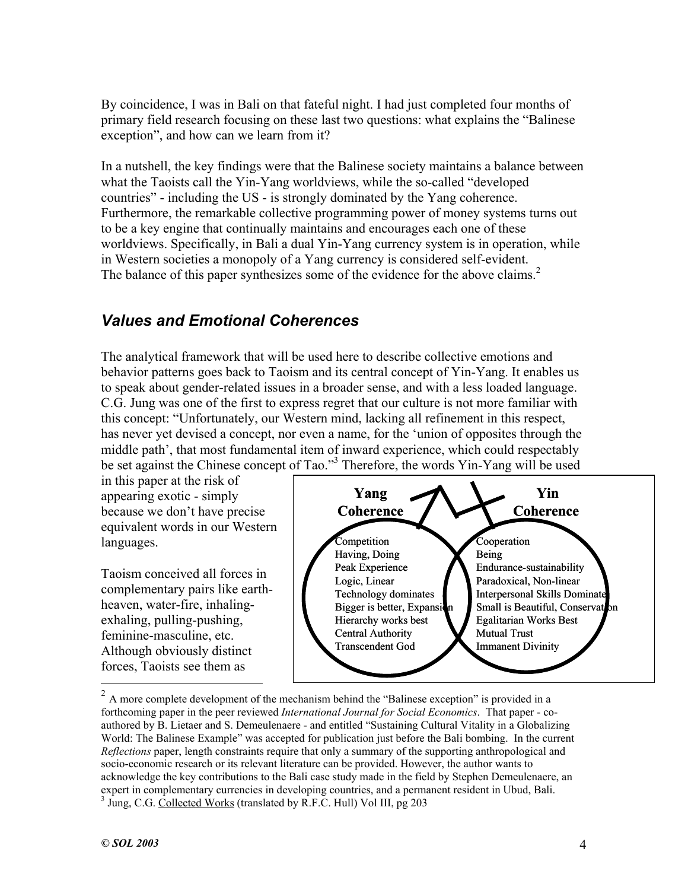By coincidence, I was in Bali on that fateful night. I had just completed four months of primary field research focusing on these last two questions: what explains the "Balinese exception", and how can we learn from it?

In a nutshell, the key findings were that the Balinese society maintains a balance between what the Taoists call the Yin-Yang worldviews, while the so-called "developed countries" - including the US - is strongly dominated by the Yang coherence. Furthermore, the remarkable collective programming power of money systems turns out to be a key engine that continually maintains and encourages each one of these worldviews. Specifically, in Bali a dual Yin-Yang currency system is in operation, while in Western societies a monopoly of a Yang currency is considered self-evident. The balance of this paper synthesizes some of the evidence for the above claims.<sup>2</sup>

### *Values and Emotional Coherences*

The analytical framework that will be used here to describe collective emotions and behavior patterns goes back to Taoism and its central concept of Yin-Yang. It enables us to speak about gender-related issues in a broader sense, and with a less loaded language. C.G. Jung was one of the first to express regret that our culture is not more familiar with this concept: "Unfortunately, our Western mind, lacking all refinement in this respect, has never yet devised a concept, nor even a name, for the 'union of opposites through the middle path', that most fundamental item of inward experience, which could respectably be set against the Chinese concept of Tao."<sup>3</sup> Therefore, the words Yin-Yang will be used

in this paper at the risk of appearing exotic - simply because we don't have precise equivalent words in our Western languages.

Taoism conceived all forces in complementary pairs like earthheaven, water-fire, inhalingexhaling, pulling-pushing, feminine-masculine, etc. Although obviously distinct forces, Taoists see them as



 $2^2$  A more complete development of the mechanism behind the "Balinese exception" is provided in a forthcoming paper in the peer reviewed *International Journal for Social Economics*. That paper - coauthored by B. Lietaer and S. Demeulenaere - and entitled "Sustaining Cultural Vitality in a Globalizing World: The Balinese Example" was accepted for publication just before the Bali bombing. In the current *Reflections* paper, length constraints require that only a summary of the supporting anthropological and socio-economic research or its relevant literature can be provided. However, the author wants to acknowledge the key contributions to the Bali case study made in the field by Stephen Demeulenaere, an expert in complementary currencies in developing countries, and a permanent resident in Ubud, Bali. <sup>3</sup> Jung, C.G. Collected Works (translated by R.F.C. Hull) Vol III, pg 203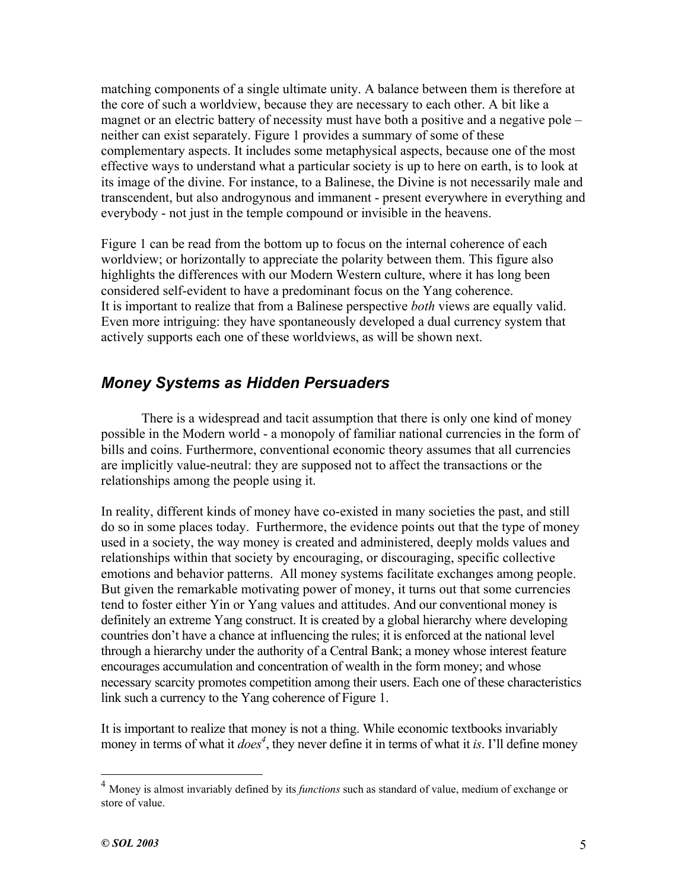matching components of a single ultimate unity. A balance between them is therefore at the core of such a worldview, because they are necessary to each other. A bit like a magnet or an electric battery of necessity must have both a positive and a negative pole – neither can exist separately. Figure 1 provides a summary of some of these complementary aspects. It includes some metaphysical aspects, because one of the most effective ways to understand what a particular society is up to here on earth, is to look at its image of the divine. For instance, to a Balinese, the Divine is not necessarily male and transcendent, but also androgynous and immanent - present everywhere in everything and everybody - not just in the temple compound or invisible in the heavens.

Figure 1 can be read from the bottom up to focus on the internal coherence of each worldview; or horizontally to appreciate the polarity between them. This figure also highlights the differences with our Modern Western culture, where it has long been considered self-evident to have a predominant focus on the Yang coherence. It is important to realize that from a Balinese perspective *both* views are equally valid. Even more intriguing: they have spontaneously developed a dual currency system that actively supports each one of these worldviews, as will be shown next.

### *Money Systems as Hidden Persuaders*

There is a widespread and tacit assumption that there is only one kind of money possible in the Modern world - a monopoly of familiar national currencies in the form of bills and coins. Furthermore, conventional economic theory assumes that all currencies are implicitly value-neutral: they are supposed not to affect the transactions or the relationships among the people using it.

In reality, different kinds of money have co-existed in many societies the past, and still do so in some places today. Furthermore, the evidence points out that the type of money used in a society, the way money is created and administered, deeply molds values and relationships within that society by encouraging, or discouraging, specific collective emotions and behavior patterns. All money systems facilitate exchanges among people. But given the remarkable motivating power of money, it turns out that some currencies tend to foster either Yin or Yang values and attitudes. And our conventional money is definitely an extreme Yang construct. It is created by a global hierarchy where developing countries don't have a chance at influencing the rules; it is enforced at the national level through a hierarchy under the authority of a Central Bank; a money whose interest feature encourages accumulation and concentration of wealth in the form money; and whose necessary scarcity promotes competition among their users. Each one of these characteristics link such a currency to the Yang coherence of Figure 1.

It is important to realize that money is not a thing. While economic textbooks invariably money in terms of what it *does<sup>4</sup>*, they never define it in terms of what it *is*. I'll define money

1

<sup>4</sup> Money is almost invariably defined by its *functions* such as standard of value, medium of exchange or store of value.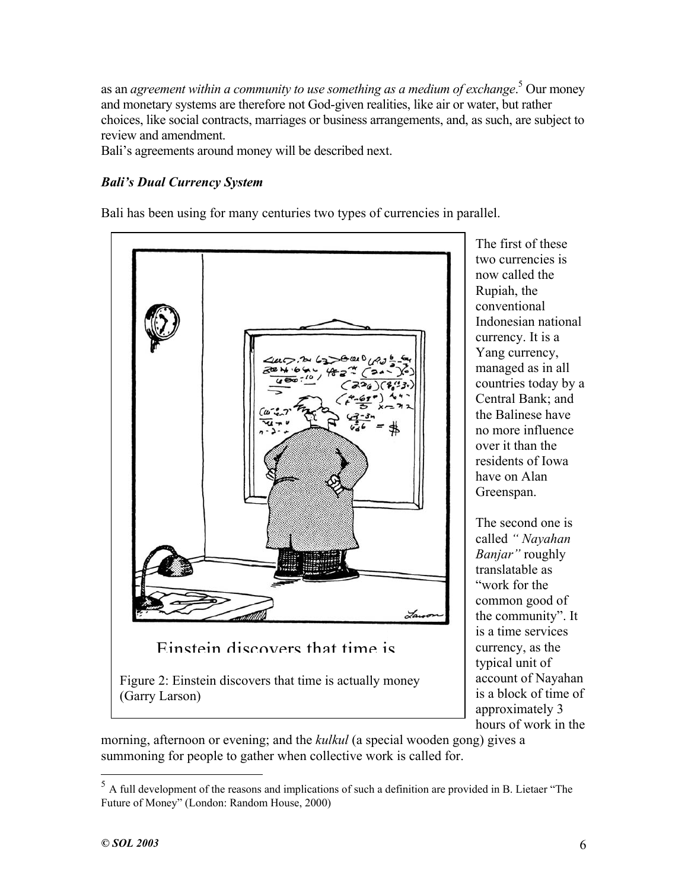as an *agreement within a community to use something as a medium of exchange*. 5 Our money and monetary systems are therefore not God-given realities, like air or water, but rather choices, like social contracts, marriages or business arrangements, and, as such, are subject to review and amendment.

Bali's agreements around money will be described next.

### *Bali's Dual Currency System*

Bali has been using for many centuries two types of currencies in parallel.



The first of these two currencies is now called the Rupiah, the conventional Indonesian national currency. It is a Yang currency, managed as in all countries today by a Central Bank; and the Balinese have no more influence over it than the residents of Iowa have on Alan Greenspan.

The second one is called *" Nayahan Banjar"* roughly translatable as "work for the common good of the community". It is a time services currency, as the typical unit of account of Nayahan is a block of time of approximately 3 hours of work in the

morning, afternoon or evening; and the *kulkul* (a special wooden gong) gives a summoning for people to gather when collective work is called for.

1

 $<sup>5</sup>$  A full development of the reasons and implications of such a definition are provided in B. Lietaer "The</sup> Future of Money" (London: Random House, 2000)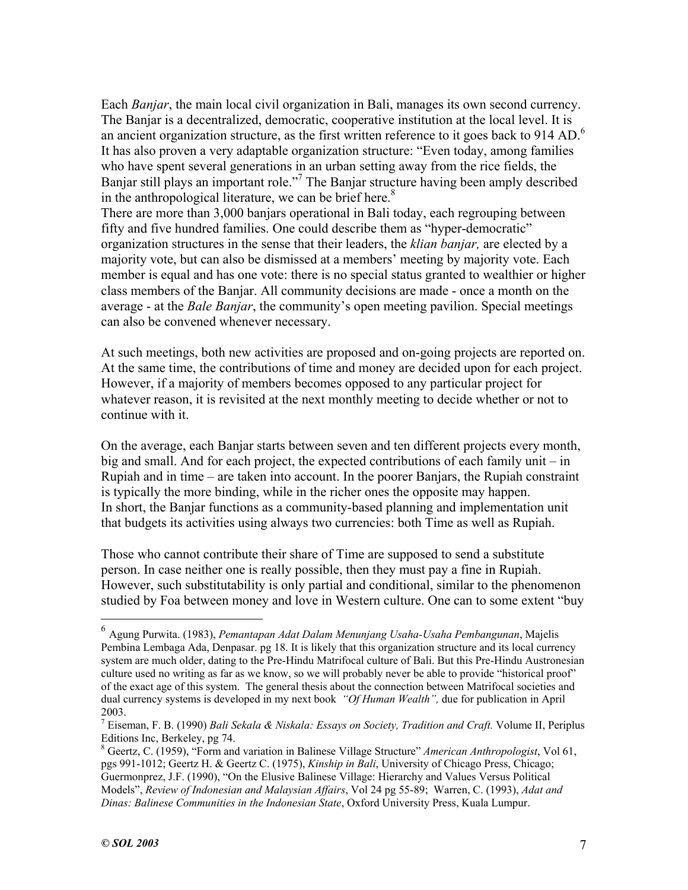Each *Banjar*, the main local civil organization in Bali, manages its own second currency. The Banjar is a decentralized, democratic, cooperative institution at the local level. It is an ancient organization structure, as the first written reference to it goes back to  $914$  AD.<sup>6</sup> It has also proven a very adaptable organization structure: "Even today, among families who have spent several generations in an urban setting away from the rice fields, the Banjar still plays an important role."<sup>7</sup> The Banjar structure having been amply described in the anthropological literature, we can be brief here.<sup>8</sup>

There are more than 3,000 banjars operational in Bali today, each regrouping between fifty and five hundred families. One could describe them as "hyper-democratic" organization structures in the sense that their leaders, the *klian banjar,* are elected by a majority vote, but can also be dismissed at a members' meeting by majority vote. Each member is equal and has one vote: there is no special status granted to wealthier or higher class members of the Banjar. All community decisions are made - once a month on the average - at the *Bale Banjar*, the community's open meeting pavilion. Special meetings can also be convened whenever necessary.

At such meetings, both new activities are proposed and on-going projects are reported on. At the same time, the contributions of time and money are decided upon for each project. However, if a majority of members becomes opposed to any particular project for whatever reason, it is revisited at the next monthly meeting to decide whether or not to continue with it.

On the average, each Banjar starts between seven and ten different projects every month, big and small. And for each project, the expected contributions of each family unit – in Rupiah and in time – are taken into account. In the poorer Banjars, the Rupiah constraint is typically the more binding, while in the richer ones the opposite may happen. In short, the Banjar functions as a community-based planning and implementation unit that budgets its activities using always two currencies: both Time as well as Rupiah.

Those who cannot contribute their share of Time are supposed to send a substitute person. In case neither one is really possible, then they must pay a fine in Rupiah. However, such substitutability is only partial and conditional, similar to the phenomenon studied by Foa between money and love in Western culture. One can to some extent "buy

<sup>6</sup> Agung Purwita. (1983), *Pemantapan Adat Dalam Menunjang Usaha-Usaha Pembangunan*, Majelis Pembina Lembaga Ada, Denpasar. pg 18. It is likely that this organization structure and its local currency system are much older, dating to the Pre-Hindu Matrifocal culture of Bali. But this Pre-Hindu Austronesian culture used no writing as far as we know, so we will probably never be able to provide "historical proof" of the exact age of this system. The general thesis about the connection between Matrifocal societies and dual currency systems is developed in my next book *"Of Human Wealth",* due for publication in April 2003.

<sup>7</sup> Eiseman, F. B. (1990) *Bali Sekala & Niskala: Essays on Society, Tradition and Craft.* Volume II, Periplus Editions Inc, Berkeley, pg 74.

<sup>8</sup> Geertz, C. (1959), "Form and variation in Balinese Village Structure" *American Anthropologist*, Vol 61, pgs 991-1012; Geertz H. & Geertz C. (1975), *Kinship in Bali*, University of Chicago Press, Chicago; Guermonprez, J.F. (1990), "On the Elusive Balinese Village: Hierarchy and Values Versus Political Models", *Review of Indonesian and Malaysian Affairs*, Vol 24 pg 55-89; Warren, C. (1993), *Adat and Dinas: Balinese Communities in the Indonesian State*, Oxford University Press, Kuala Lumpur.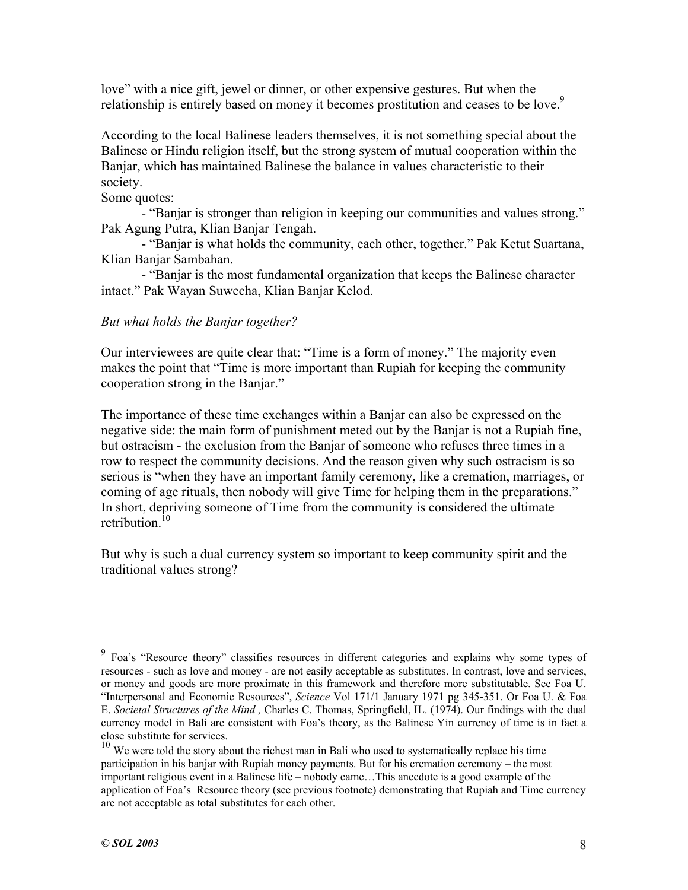love" with a nice gift, jewel or dinner, or other expensive gestures. But when the relationship is entirely based on money it becomes prostitution and ceases to be love.<sup>9</sup>

According to the local Balinese leaders themselves, it is not something special about the Balinese or Hindu religion itself, but the strong system of mutual cooperation within the Banjar, which has maintained Balinese the balance in values characteristic to their society.

#### Some quotes:

- "Banjar is stronger than religion in keeping our communities and values strong." Pak Agung Putra, Klian Banjar Tengah.

- "Banjar is what holds the community, each other, together." Pak Ketut Suartana, Klian Banjar Sambahan.

- "Banjar is the most fundamental organization that keeps the Balinese character intact." Pak Wayan Suwecha, Klian Banjar Kelod.

#### *But what holds the Banjar together?*

Our interviewees are quite clear that: "Time is a form of money." The majority even makes the point that "Time is more important than Rupiah for keeping the community cooperation strong in the Banjar."

The importance of these time exchanges within a Banjar can also be expressed on the negative side: the main form of punishment meted out by the Banjar is not a Rupiah fine, but ostracism - the exclusion from the Banjar of someone who refuses three times in a row to respect the community decisions. And the reason given why such ostracism is so serious is "when they have an important family ceremony, like a cremation, marriages, or coming of age rituals, then nobody will give Time for helping them in the preparations." In short, depriving someone of Time from the community is considered the ultimate retribution<sup>10</sup>

But why is such a dual currency system so important to keep community spirit and the traditional values strong?

<sup>9</sup> Foa's "Resource theory" classifies resources in different categories and explains why some types of resources - such as love and money - are not easily acceptable as substitutes. In contrast, love and services, or money and goods are more proximate in this framework and therefore more substitutable. See Foa U. "Interpersonal and Economic Resources", *Science* Vol 171/1 January 1971 pg 345-351. Or Foa U. & Foa E. *Societal Structures of the Mind ,* Charles C. Thomas, Springfield, IL. (1974). Our findings with the dual currency model in Bali are consistent with Foa's theory, as the Balinese Yin currency of time is in fact a close substitute for services.

 $10$  We were told the story about the richest man in Bali who used to systematically replace his time participation in his banjar with Rupiah money payments. But for his cremation ceremony – the most important religious event in a Balinese life – nobody came…This anecdote is a good example of the application of Foa's Resource theory (see previous footnote) demonstrating that Rupiah and Time currency are not acceptable as total substitutes for each other.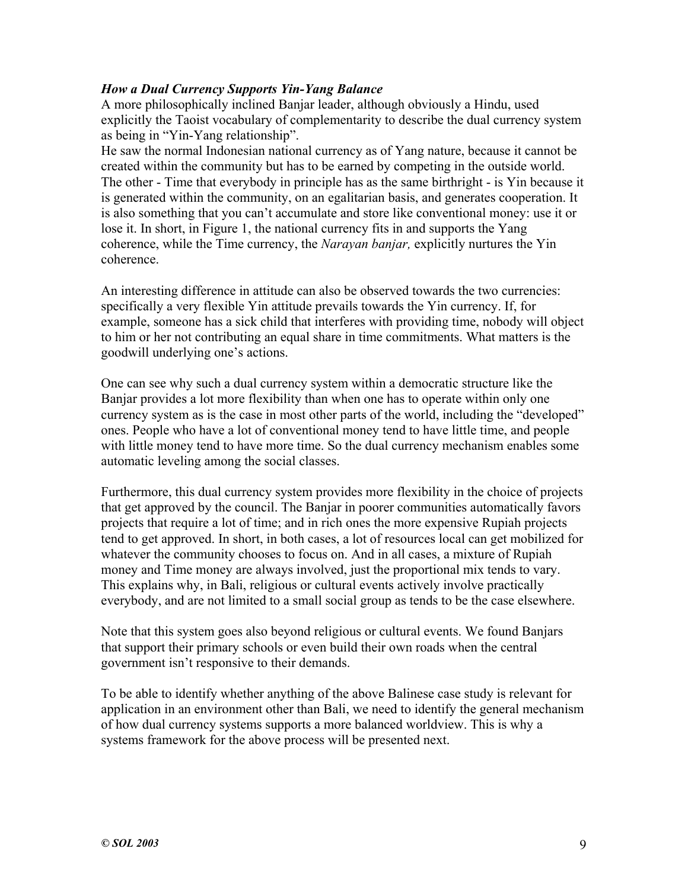#### *How a Dual Currency Supports Yin-Yang Balance*

A more philosophically inclined Banjar leader, although obviously a Hindu, used explicitly the Taoist vocabulary of complementarity to describe the dual currency system as being in "Yin-Yang relationship".

He saw the normal Indonesian national currency as of Yang nature, because it cannot be created within the community but has to be earned by competing in the outside world. The other - Time that everybody in principle has as the same birthright - is Yin because it is generated within the community, on an egalitarian basis, and generates cooperation. It is also something that you can't accumulate and store like conventional money: use it or lose it. In short, in Figure 1, the national currency fits in and supports the Yang coherence, while the Time currency, the *Narayan banjar,* explicitly nurtures the Yin coherence.

An interesting difference in attitude can also be observed towards the two currencies: specifically a very flexible Yin attitude prevails towards the Yin currency. If, for example, someone has a sick child that interferes with providing time, nobody will object to him or her not contributing an equal share in time commitments. What matters is the goodwill underlying one's actions.

One can see why such a dual currency system within a democratic structure like the Banjar provides a lot more flexibility than when one has to operate within only one currency system as is the case in most other parts of the world, including the "developed" ones. People who have a lot of conventional money tend to have little time, and people with little money tend to have more time. So the dual currency mechanism enables some automatic leveling among the social classes.

Furthermore, this dual currency system provides more flexibility in the choice of projects that get approved by the council. The Banjar in poorer communities automatically favors projects that require a lot of time; and in rich ones the more expensive Rupiah projects tend to get approved. In short, in both cases, a lot of resources local can get mobilized for whatever the community chooses to focus on. And in all cases, a mixture of Rupiah money and Time money are always involved, just the proportional mix tends to vary. This explains why, in Bali, religious or cultural events actively involve practically everybody, and are not limited to a small social group as tends to be the case elsewhere.

Note that this system goes also beyond religious or cultural events. We found Banjars that support their primary schools or even build their own roads when the central government isn't responsive to their demands.

To be able to identify whether anything of the above Balinese case study is relevant for application in an environment other than Bali, we need to identify the general mechanism of how dual currency systems supports a more balanced worldview. This is why a systems framework for the above process will be presented next.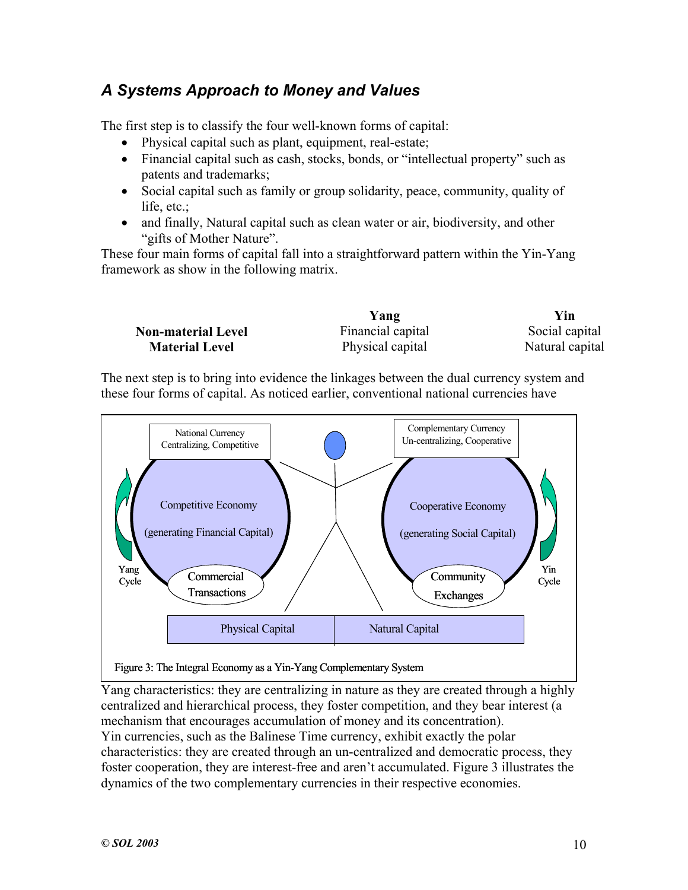## *A Systems Approach to Money and Values*

The first step is to classify the four well-known forms of capital:

- Physical capital such as plant, equipment, real-estate;
- Financial capital such as cash, stocks, bonds, or "intellectual property" such as patents and trademarks;
- Social capital such as family or group solidarity, peace, community, quality of life, etc.;
- and finally, Natural capital such as clean water or air, biodiversity, and other "gifts of Mother Nature".

These four main forms of capital fall into a straightforward pattern within the Yin-Yang framework as show in the following matrix.

|                           | Yang              | Yin             |
|---------------------------|-------------------|-----------------|
| <b>Non-material Level</b> | Financial capital | Social capital  |
| <b>Material Level</b>     | Physical capital  | Natural capital |

The next step is to bring into evidence the linkages between the dual currency system and these four forms of capital. As noticed earlier, conventional national currencies have



#### Figure 3: The Integral Economy as a Yin-Yang Complementary System

Yang characteristics: they are centralizing in nature as they are created through a highly centralized and hierarchical process, they foster competition, and they bear interest (a mechanism that encourages accumulation of money and its concentration). Yin currencies, such as the Balinese Time currency, exhibit exactly the polar characteristics: they are created through an un-centralized and democratic process, they foster cooperation, they are interest-free and aren't accumulated. Figure 3 illustrates the dynamics of the two complementary currencies in their respective economies.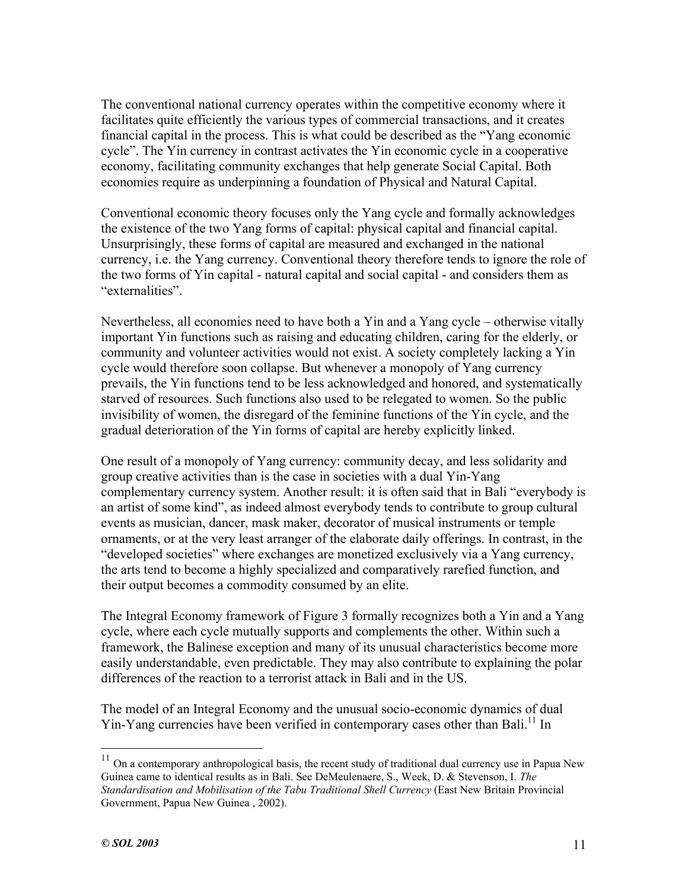The conventional national currency operates within the competitive economy where it facilitates quite efficiently the various types of commercial transactions, and it creates financial capital in the process. This is what could be described as the "Yang economic cycle". The Yin currency in contrast activates the Yin economic cycle in a cooperative economy, facilitating community exchanges that help generate Social Capital. Both economies require as underpinning a foundation of Physical and Natural Capital.

Conventional economic theory focuses only the Yang cycle and formally acknowledges the existence of the two Yang forms of capital: physical capital and financial capital. Unsurprisingly, these forms of capital are measured and exchanged in the national currency, i.e. the Yang currency. Conventional theory therefore tends to ignore the role of the two forms of Yin capital - natural capital and social capital - and considers them as "externalities".

Nevertheless, all economies need to have both a Yin and a Yang cycle – otherwise vitally important Yin functions such as raising and educating children, caring for the elderly, or community and volunteer activities would not exist. A society completely lacking a Yin cycle would therefore soon collapse. But whenever a monopoly of Yang currency prevails, the Yin functions tend to be less acknowledged and honored, and systematically starved of resources. Such functions also used to be relegated to women. So the public invisibility of women, the disregard of the feminine functions of the Yin cycle, and the gradual deterioration of the Yin forms of capital are hereby explicitly linked.

One result of a monopoly of Yang currency: community decay, and less solidarity and group creative activities than is the case in societies with a dual Yin-Yang complementary currency system. Another result: it is often said that in Bali "everybody is an artist of some kind", as indeed almost everybody tends to contribute to group cultural events as musician, dancer, mask maker, decorator of musical instruments or temple ornaments, or at the very least arranger of the elaborate daily offerings. In contrast, in the "developed societies" where exchanges are monetized exclusively via a Yang currency, the arts tend to become a highly specialized and comparatively rarefied function, and their output becomes a commodity consumed by an elite.

The Integral Economy framework of Figure 3 formally recognizes both a Yin and a Yang cycle, where each cycle mutually supports and complements the other. Within such a framework, the Balinese exception and many of its unusual characteristics become more easily understandable, even predictable. They may also contribute to explaining the polar differences of the reaction to a terrorist attack in Bali and in the US.

The model of an Integral Economy and the unusual socio-economic dynamics of dual Yin-Yang currencies have been verified in contemporary cases other than Bali.<sup>11</sup> In

 $11$  On a contemporary anthropological basis, the recent study of traditional dual currency use in Papua New Guinea came to identical results as in Bali. See DeMeulenaere, S., Week, D. & Stevenson, I. *The Standardisation and Mobilisation of the Tabu Traditional Shell Currency* (East New Britain Provincial Government, Papua New Guinea , 2002).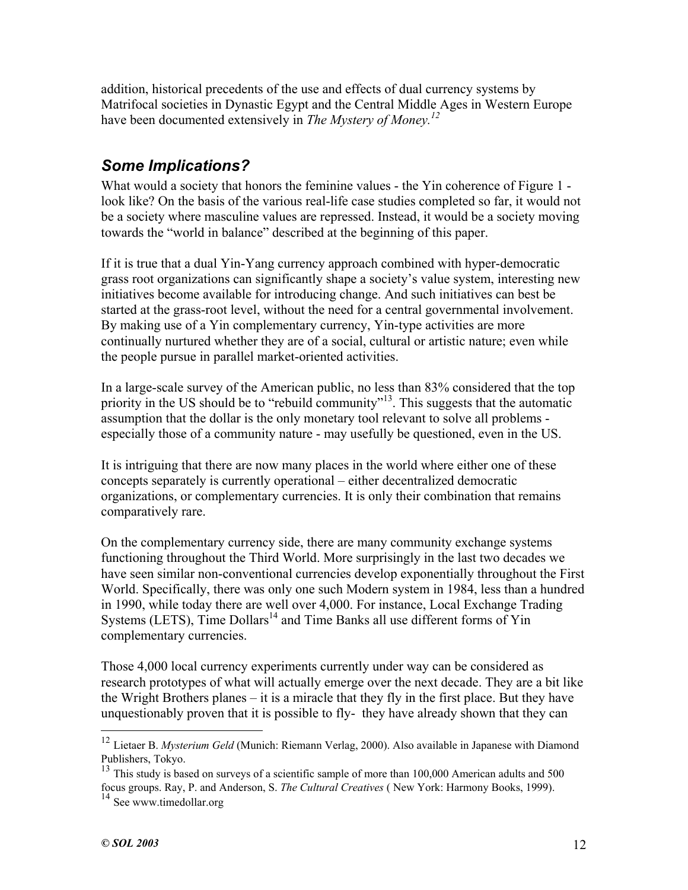addition, historical precedents of the use and effects of dual currency systems by Matrifocal societies in Dynastic Egypt and the Central Middle Ages in Western Europe have been documented extensively in *The Mystery of Money.12*

## *Some Implications?*

What would a society that honors the feminine values - the Yin coherence of Figure 1 look like? On the basis of the various real-life case studies completed so far, it would not be a society where masculine values are repressed. Instead, it would be a society moving towards the "world in balance" described at the beginning of this paper.

If it is true that a dual Yin-Yang currency approach combined with hyper-democratic grass root organizations can significantly shape a society's value system, interesting new initiatives become available for introducing change. And such initiatives can best be started at the grass-root level, without the need for a central governmental involvement. By making use of a Yin complementary currency, Yin-type activities are more continually nurtured whether they are of a social, cultural or artistic nature; even while the people pursue in parallel market-oriented activities.

In a large-scale survey of the American public, no less than 83% considered that the top priority in the US should be to "rebuild community"<sup>13</sup>. This suggests that the automatic assumption that the dollar is the only monetary tool relevant to solve all problems especially those of a community nature - may usefully be questioned, even in the US.

It is intriguing that there are now many places in the world where either one of these concepts separately is currently operational – either decentralized democratic organizations, or complementary currencies. It is only their combination that remains comparatively rare.

On the complementary currency side, there are many community exchange systems functioning throughout the Third World. More surprisingly in the last two decades we have seen similar non-conventional currencies develop exponentially throughout the First World. Specifically, there was only one such Modern system in 1984, less than a hundred in 1990, while today there are well over 4,000. For instance, Local Exchange Trading Systems (LETS), Time Dollars<sup>14</sup> and Time Banks all use different forms of Yin complementary currencies.

Those 4,000 local currency experiments currently under way can be considered as research prototypes of what will actually emerge over the next decade. They are a bit like the Wright Brothers planes – it is a miracle that they fly in the first place. But they have unquestionably proven that it is possible to fly- they have already shown that they can

<sup>12</sup> Lietaer B. *Mysterium Geld* (Munich: Riemann Verlag, 2000). Also available in Japanese with Diamond Publishers, Tokyo.

<sup>&</sup>lt;sup>13</sup> This study is based on surveys of a scientific sample of more than 100,000 American adults and 500 focus groups. Ray, P. and Anderson, S. *The Cultural Creatives* ( New York: Harmony Books, 1999).

 $14$  See www.timedollar.org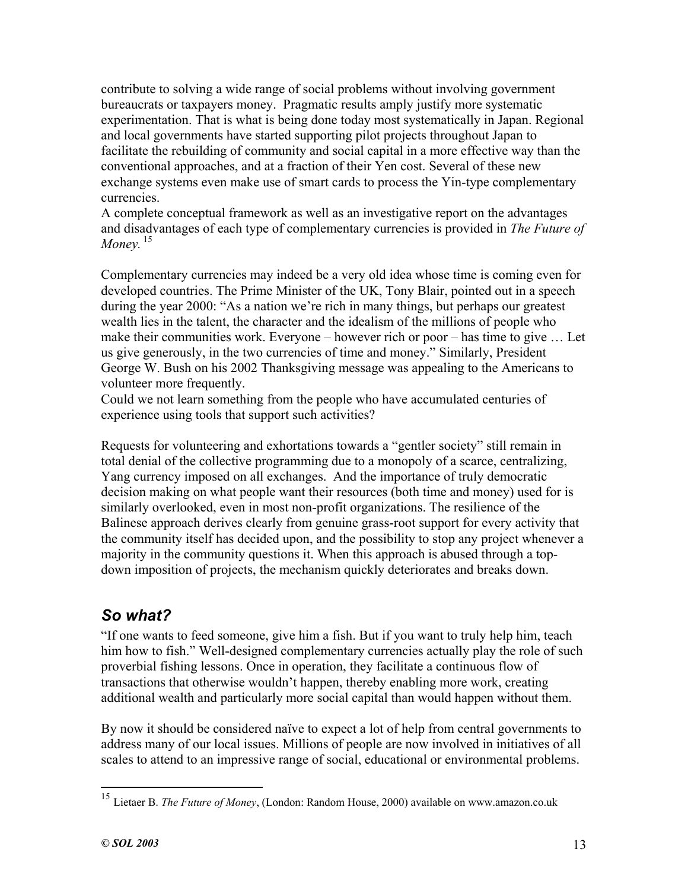contribute to solving a wide range of social problems without involving government bureaucrats or taxpayers money. Pragmatic results amply justify more systematic experimentation. That is what is being done today most systematically in Japan. Regional and local governments have started supporting pilot projects throughout Japan to facilitate the rebuilding of community and social capital in a more effective way than the conventional approaches, and at a fraction of their Yen cost. Several of these new exchange systems even make use of smart cards to process the Yin-type complementary currencies.

A complete conceptual framework as well as an investigative report on the advantages and disadvantages of each type of complementary currencies is provided in *The Future of Money.*<sup>15</sup>

Complementary currencies may indeed be a very old idea whose time is coming even for developed countries. The Prime Minister of the UK, Tony Blair, pointed out in a speech during the year 2000: "As a nation we're rich in many things, but perhaps our greatest wealth lies in the talent, the character and the idealism of the millions of people who make their communities work. Everyone – however rich or poor – has time to give … Let us give generously, in the two currencies of time and money." Similarly, President George W. Bush on his 2002 Thanksgiving message was appealing to the Americans to volunteer more frequently.

Could we not learn something from the people who have accumulated centuries of experience using tools that support such activities?

Requests for volunteering and exhortations towards a "gentler society" still remain in total denial of the collective programming due to a monopoly of a scarce, centralizing, Yang currency imposed on all exchanges. And the importance of truly democratic decision making on what people want their resources (both time and money) used for is similarly overlooked, even in most non-profit organizations. The resilience of the Balinese approach derives clearly from genuine grass-root support for every activity that the community itself has decided upon, and the possibility to stop any project whenever a majority in the community questions it. When this approach is abused through a topdown imposition of projects, the mechanism quickly deteriorates and breaks down.

# *So what?*

"If one wants to feed someone, give him a fish. But if you want to truly help him, teach him how to fish." Well-designed complementary currencies actually play the role of such proverbial fishing lessons. Once in operation, they facilitate a continuous flow of transactions that otherwise wouldn't happen, thereby enabling more work, creating additional wealth and particularly more social capital than would happen without them.

By now it should be considered naïve to expect a lot of help from central governments to address many of our local issues. Millions of people are now involved in initiatives of all scales to attend to an impressive range of social, educational or environmental problems.

<u>.</u>

<sup>15</sup> Lietaer B. *The Future of Money*, (London: Random House, 2000) available on www.amazon.co.uk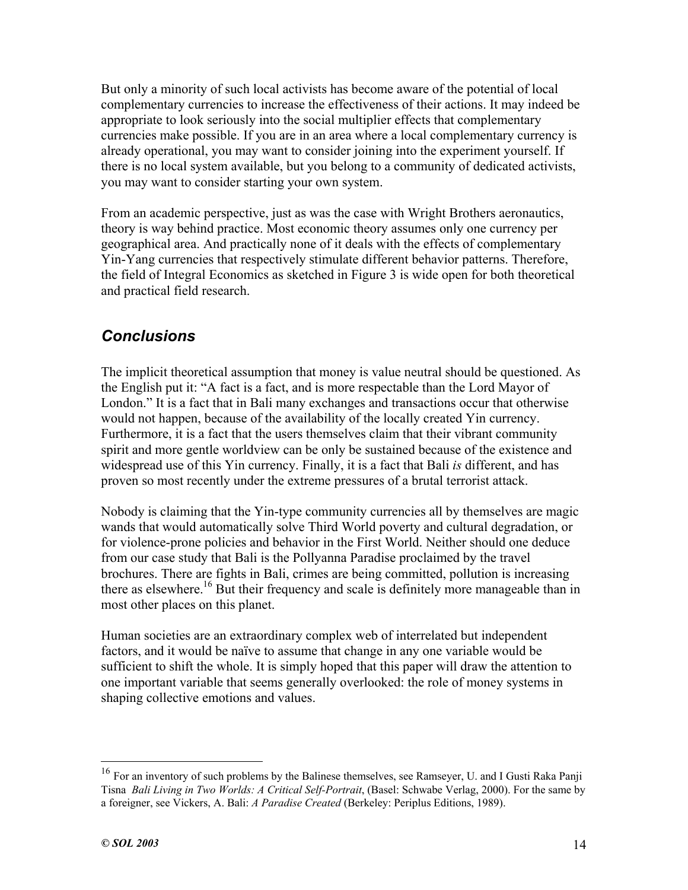But only a minority of such local activists has become aware of the potential of local complementary currencies to increase the effectiveness of their actions. It may indeed be appropriate to look seriously into the social multiplier effects that complementary currencies make possible. If you are in an area where a local complementary currency is already operational, you may want to consider joining into the experiment yourself. If there is no local system available, but you belong to a community of dedicated activists, you may want to consider starting your own system.

From an academic perspective, just as was the case with Wright Brothers aeronautics, theory is way behind practice. Most economic theory assumes only one currency per geographical area. And practically none of it deals with the effects of complementary Yin-Yang currencies that respectively stimulate different behavior patterns. Therefore, the field of Integral Economics as sketched in Figure 3 is wide open for both theoretical and practical field research.

### *Conclusions*

The implicit theoretical assumption that money is value neutral should be questioned. As the English put it: "A fact is a fact, and is more respectable than the Lord Mayor of London." It is a fact that in Bali many exchanges and transactions occur that otherwise would not happen, because of the availability of the locally created Yin currency. Furthermore, it is a fact that the users themselves claim that their vibrant community spirit and more gentle worldview can be only be sustained because of the existence and widespread use of this Yin currency. Finally, it is a fact that Bali *is* different, and has proven so most recently under the extreme pressures of a brutal terrorist attack.

Nobody is claiming that the Yin-type community currencies all by themselves are magic wands that would automatically solve Third World poverty and cultural degradation, or for violence-prone policies and behavior in the First World. Neither should one deduce from our case study that Bali is the Pollyanna Paradise proclaimed by the travel brochures. There are fights in Bali, crimes are being committed, pollution is increasing there as elsewhere.<sup>16</sup> But their frequency and scale is definitely more manageable than in most other places on this planet.

Human societies are an extraordinary complex web of interrelated but independent factors, and it would be naïve to assume that change in any one variable would be sufficient to shift the whole. It is simply hoped that this paper will draw the attention to one important variable that seems generally overlooked: the role of money systems in shaping collective emotions and values.

<sup>&</sup>lt;sup>16</sup> For an inventory of such problems by the Balinese themselves, see Ramseyer, U. and I Gusti Raka Panji Tisna *Bali Living in Two Worlds: A Critical Self-Portrait*, (Basel: Schwabe Verlag, 2000). For the same by a foreigner, see Vickers, A. Bali: *A Paradise Created* (Berkeley: Periplus Editions, 1989).